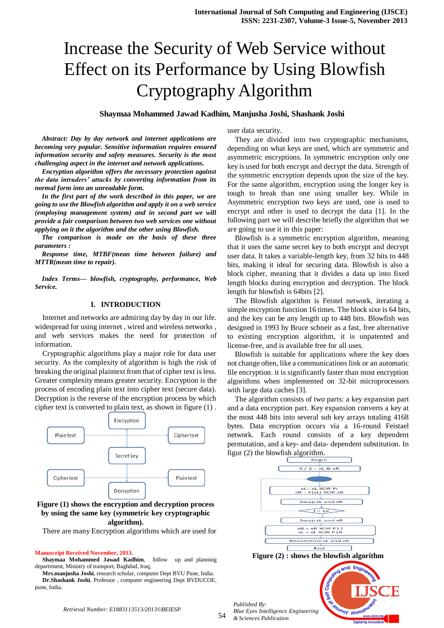# Increase the Security of Web Service without Effect on its Performance by Using Blowfish Cryptography Algorithm

## **Shaymaa Mohammed Jawad Kadhim, Manjusha Joshi, Shashank Joshi**

*Abstract: Day by day network and internet applications are becoming very popular. Sensitive information requires ensured information security and safety measures. Security is the most challenging aspect in the internet and network applications.*

*Encryption algorithm offers the necessary protection against the data intruders' attacks by converting information from its normal form into an unreadable form.* 

*In the first part of the work described in this paper, we are going to use the Blowfish algorithm and apply it on a web service (employing management system) and in second part we will provide a fair comparison between two web services one without applying on it the algorithm and the other using Blowfish.*

*The comparison is made on the basis of these three parameters :*

*Response time, MTBF(mean time between failure) and MTTR(mean time to repair).*

*Index Terms— blowfish, cryptography, performance, Web Service.*

#### **I. INTRODUCTION**

Internet and networks are admiring day by day in our life. widespread for using internet , wired and wireless networks , and web services makes the need for protection of information.

Cryptographic algorithms play a major role for data user security. As the complexity of algorithm is high the risk of breaking the original plaintext from that of cipher text is less. Greater complexity means greater security. Encryption is the process of encoding plain text into cipher text (secure data). Decryption is the reverse of the encryption process by which cipher text is converted to plain text, as shown in figure (1) .



## **Figure (1) shows the encryption and decryption process by using the same key (symmetric key cryptographic algorithm).**

There are many Encryption algorithms which are used for

#### **Manuscript Received November, 2013.**

**Shaymaa Mohammed Jawad Kadhim**, follow up and planning departrment, Ministry of transport, Baghdad, Iraq,

**Mrs.manjusha Joshi**, research scholar, computer Dept BVU Pune, India. **Dr.Shashank Joshi**, Professor , computer engineering Dept BVDUCOE, pune, India.

user data security.

They are divided into two cryptographic mechanisms, depending on what keys are used, which are symmetric and asymmetric encryptions. In symmetric encryption only one key is used for both encrypt and decrypt the data. Strength of the symmetric encryption depends upon the size of the key. For the same algorithm, encryption using the longer key is tough to break than one using smaller key. While in Asymmetric encryption two keys are used, one is used to encrypt and other is used to decrypt the data [1]. In the following part we will describe briefly the algorithm that we are going to use it in this paper:

Blowfish is a symmetric encryption algorithm, meaning that it uses the same secret key to both encrypt and decrypt user data. It takes a variable-length key, from 32 bits to 448 bits, making it ideal for securing data. Blowfish is also a block cipher, meaning that it divides a data up into fixed length blocks during encryption and decryption. The block length for blowfish is 64bits [2].

The Blowfish algorithm is Feistel network, iterating a simple encryption function 16 times. The block sixe is 64 bits, and the key can be any length up to 448 bits. Blowfish was designed in 1993 by Bruce schneir as a fast, free alternative to existing encryption algorithm, it is unpatented and license-free, and is available free for all uses.

Blowfish is suitable for applications where the key does not change often, like a communications link or an automatic file encryption. it is significantly faster than most encryption algorithms when implemented on 32-bit microprocessors with large data caches [3].

The algorithm consists of two parts: a key expansion part and a data encryption part. Key expansion converts a key at the most 448 bits into several sub key arrays totaling 4168 bytes. Data encryption occurs via a 16-round Feistael network. Each round consists of a key dependent permutation, and a key- and data- dependent substitution. In figur (2) the blowfish algorithm.





Journ **Puo** 

*Published By: Blue Eyes Intelligence Engineering & Sciences Publication*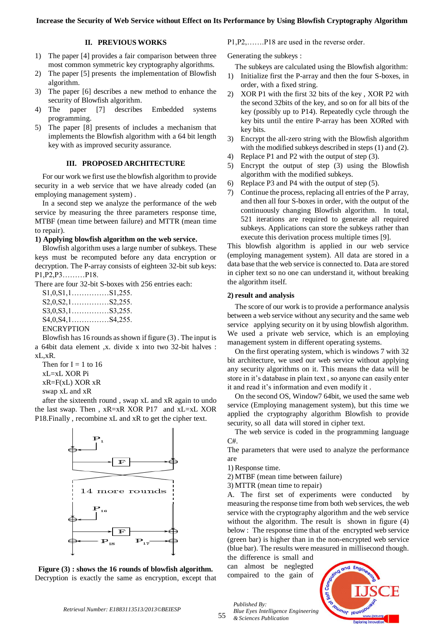## **II. PREVIOUS WORKS**

- 1) The paper [4] provides a fair comparison between three most common symmetric key cryptography algorithms.
- 2) The paper [5] presents the implementation of Blowfish algorithm.
- 3) The paper [6] describes a new method to enhance the security of Blowfish algorithm.
- 4) The paper [7] describes Embedded systems programming.
- 5) The paper [8] presents of includes a mechanism that implements the Blowfish algorithm with a 64 bit length key with as improved security assurance.

## **III. PROPOSED ARCHITECTURE**

For our work we first use the blowfish algorithm to provide security in a web service that we have already coded (an employing management system) .

In a second step we analyze the performance of the web service by measuring the three parameters response time, MTBF (mean time between failure) and MTTR (mean time to repair).

## **1) Applying blowfish algorithm on the web service.**

Blowfish algorithm uses a large number of subkeys. These keys must be recomputed before any data encryption or decryption. The P-array consists of eighteen 32-bit sub keys: P1,P2,P3………P18.

There are four 32-bit S-boxes with 256 entries each:

S1,0,S1,1……………S1,255. S2,0,S2,1……………S2,255. S3,0,S3,1……………S3,255. S4,0,S4,1……………S4,255. ENCRYPTION

Blowfish has 16 rounds as shown if figure (3) . The input is a 64bit data element ,x. divide x into two 32-bit halves : xL,xR.

Then for  $I = 1$  to 16 xL=xL XOR Pi xR=F(xL) XOR xR

swap xL and xR

after the sixteenth round , swap xL and xR again to undo the last swap. Then , xR=xR XOR P17 and xL=xL XOR P18.Finally , recombine xL and xR to get the cipher text.



**Figure (3) : shows the 16 rounds of blowfish algorithm.** Decryption is exactly the same as encryption, except that

P1,P2,…….P18 are used in the reverse order.

Generating the subkeys :

The subkeys are calculated using the Blowfish algorithm:

- 1) Initialize first the P-array and then the four S-boxes, in order, with a fixed string.
- 2) XOR P1 with the first 32 bits of the key , XOR P2 with the second 32bits of the key, and so on for all bits of the key (possibly up to P14). Repeatedly cycle through the key bits until the entire P-array has been XORed with key bits.
- 3) Encrypt the all-zero string with the Blowfish algorithm with the modified subkeys described in steps (1) and (2).
- 4) Replace P1 and P2 with the output of step (3).
- 5) Encrypt the output of step (3) using the Blowfish algorithm with the modified subkeys.
- 6) Replace P3 and P4 with the output of step (5).
- 7) Continue the process, replacing all entries of the P array, and then all four S-boxes in order, with the output of the continuously changing Blowfish algorithm. In total, 521 iterations are required to generate all required subkeys. Applications can store the subkeys rather than execute this derivation process multiple times [9].

This blowfish algorithm is applied in our web service (employing management system). All data are stored in a data base that the web service is connected to. Data are stored in cipher text so no one can understand it, without breaking the algorithm itself.

#### **2) result and analysis**

The score of our work is to provide a performance analysis between a web service without any security and the same web service applying security on it by using blowfish algorithm. We used a private web service, which is an employing management system in different operating systems.

On the first operating system, which is windows 7 with 32 bit architecture, we used our web service without applying any security algorithms on it. This means the data will be store in it's database in plain text , so anyone can easily enter it and read it's information and even modify it .

On the second OS, Window7 64bit, we used the same web service (Employing management system), but this time we applied the cryptography algorithm Blowfish to provide security, so all data will stored in cipher text.

The web service is coded in the programming language C#.

The parameters that were used to analyze the performance are

1) Response time.

2) MTBF (mean time between failure)

3) MTTR (mean time to repair)

A. The first set of experiments were conducted by measuring the response time from both web services, the web service with the cryptography algorithm and the web service without the algorithm. The result is shown in figure (4) below : The response time that of the encrypted web service (green bar) is higher than in the non-encrypted web service (blue bar). The results were measured in millisecond though.

the difference is small and can almost be neglegted compaired to the gain of

*Published By:*

*& Sciences Publication*